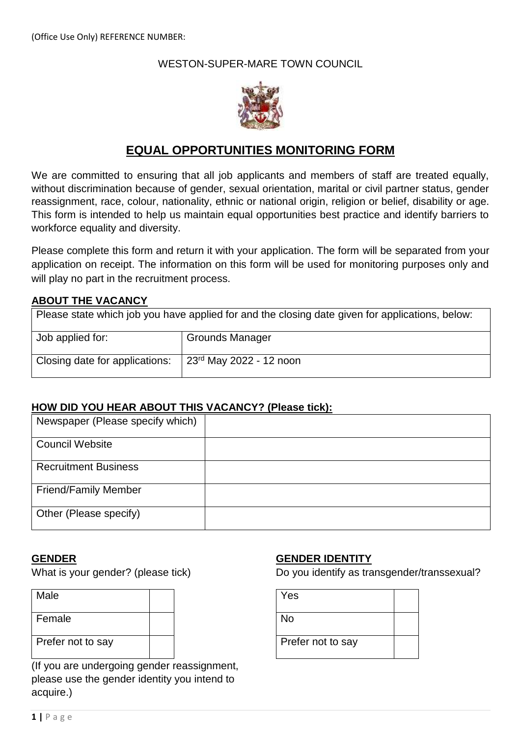## WESTON-SUPER-MARE TOWN COUNCIL



# **EQUAL OPPORTUNITIES MONITORING FORM**

We are committed to ensuring that all job applicants and members of staff are treated equally, without discrimination because of gender, sexual orientation, marital or civil partner status, gender reassignment, race, colour, nationality, ethnic or national origin, religion or belief, disability or age. This form is intended to help us maintain equal opportunities best practice and identify barriers to workforce equality and diversity.

Please complete this form and return it with your application. The form will be separated from your application on receipt. The information on this form will be used for monitoring purposes only and will play no part in the recruitment process.

### **ABOUT THE VACANCY**

| Please state which job you have applied for and the closing date given for applications, below: |                           |  |  |  |
|-------------------------------------------------------------------------------------------------|---------------------------|--|--|--|
| Job applied for:                                                                                | <b>Grounds Manager</b>    |  |  |  |
| Closing date for applications:                                                                  | $23rd$ May 2022 - 12 noon |  |  |  |

### **HOW DID YOU HEAR ABOUT THIS VACANCY? (Please tick):**

| Newspaper (Please specify which) |  |
|----------------------------------|--|
| <b>Council Website</b>           |  |
| <b>Recruitment Business</b>      |  |
| <b>Friend/Family Member</b>      |  |
| Other (Please specify)           |  |

### **GENDER**

What is your gender? (please tick)

| Male              |  |
|-------------------|--|
| Female            |  |
| Prefer not to say |  |
|                   |  |

(If you are undergoing gender reassignment, please use the gender identity you intend to acquire.)

### **GENDER IDENTITY**

Do you identify as transgender/transsexual?

| Yes               |  |
|-------------------|--|
| No                |  |
| Prefer not to say |  |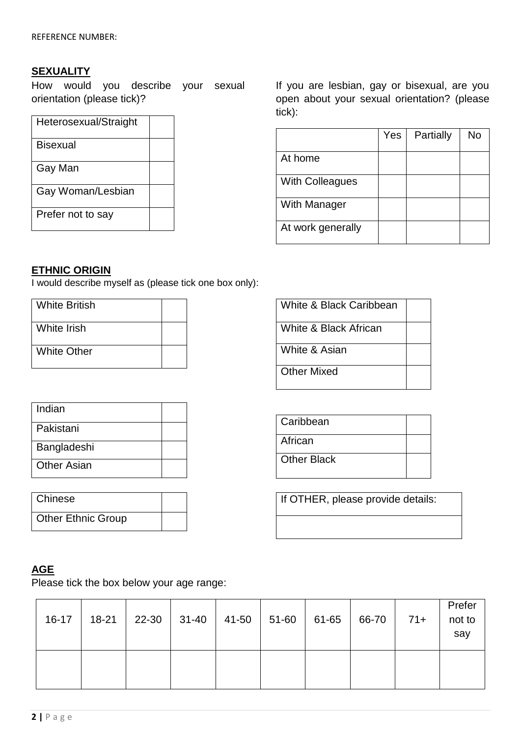## **SEXUALITY**

How would you describe your sexual orientation (please tick)?

| Heterosexual/Straight |  |
|-----------------------|--|
| <b>Bisexual</b>       |  |
| Gay Man               |  |
| Gay Woman/Lesbian     |  |
| Prefer not to say     |  |

If you are lesbian, gay or bisexual, are you open about your sexual orientation? (please tick):

|                        | Yes | Partially | No |
|------------------------|-----|-----------|----|
| At home                |     |           |    |
| <b>With Colleagues</b> |     |           |    |
| With Manager           |     |           |    |
| At work generally      |     |           |    |

## **ETHNIC ORIGIN**

I would describe myself as (please tick one box only):

| <b>White British</b> |  |
|----------------------|--|
| <b>White Irish</b>   |  |
| <b>White Other</b>   |  |

| White & Black Caribbean |  |
|-------------------------|--|
| White & Black African   |  |
| White & Asian           |  |
| <b>Other Mixed</b>      |  |

If OTHER, please provide details:

**Caribbean** 

**Other Black** 

**African** 

| Indian      |  |
|-------------|--|
| Pakistani   |  |
| Bangladeshi |  |
| Other Asian |  |

| Chinese                   |  |
|---------------------------|--|
| <b>Other Ethnic Group</b> |  |

## **AGE**

Please tick the box below your age range:

| $16-17$ | 18-21   22-30   31-40   41-50   51-60   61-65 |  |  | $66-70$ | $71+$ | Prefer<br>not to<br>say |
|---------|-----------------------------------------------|--|--|---------|-------|-------------------------|
|         |                                               |  |  |         |       |                         |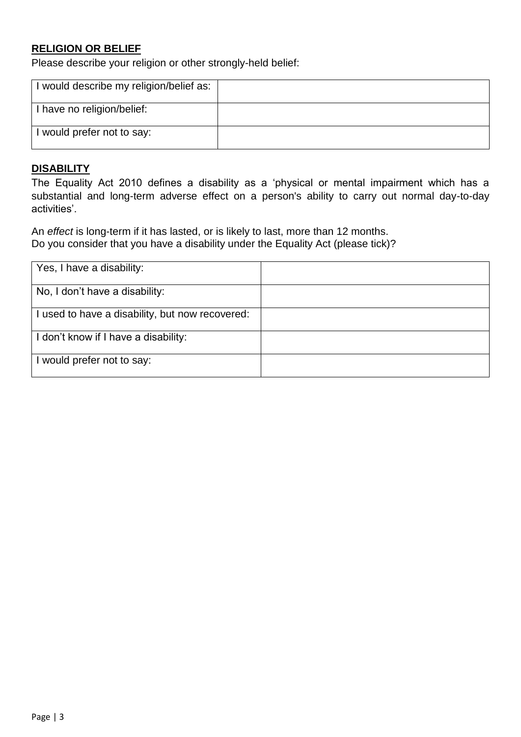## **RELIGION OR BELIEF**

Please describe your religion or other strongly-held belief:

| I would describe my religion/belief as: |  |
|-----------------------------------------|--|
| I have no religion/belief:              |  |
| I would prefer not to say:              |  |

## **DISABILITY**

The Equality Act 2010 defines a disability as a 'physical or mental impairment which has a substantial and long-term adverse effect on a person's ability to carry out normal day-to-day activities'.

An *effect* is long-term if it has lasted, or is likely to last, more than 12 months. Do you consider that you have a disability under the Equality Act (please tick)?

| Yes, I have a disability:                       |  |
|-------------------------------------------------|--|
| No, I don't have a disability:                  |  |
| I used to have a disability, but now recovered: |  |
| I don't know if I have a disability:            |  |
| I would prefer not to say:                      |  |